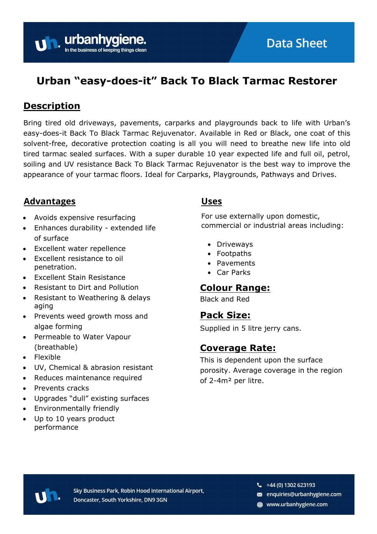

# **Urban "easy-does-it" Back To Black Tarmac Restorer**

### **Description**

Bring tired old driveways, pavements, carparks and playgrounds back to life with Urban's easy-does-it Back To Black Tarmac Rejuvenator. Available in Red or Black, one coat of this solvent-free, decorative protection coating is all you will need to breathe new life into old tired tarmac sealed surfaces. With a super durable 10 year expected life and full oil, petrol, soiling and UV resistance Back To Black Tarmac Rejuvenator is the best way to improve the appearance of your tarmac floors. Ideal for Carparks, Playgrounds, Pathways and Drives.

#### **Advantages**

- Avoids expensive resurfacing
- Enhances durability extended life of surface

urbanhy

- Excellent water repellence
- Excellent resistance to oil penetration.
- Excellent Stain Resistance
- Resistant to Dirt and Pollution
- Resistant to Weathering & delays aging
- Prevents weed growth moss and algae forming
- Permeable to Water Vapour (breathable)
- Flexible
- UV, Chemical & abrasion resistant
- Reduces maintenance required
- Prevents cracks
- Upgrades "dull" existing surfaces
- Environmentally friendly
- Up to 10 years product performance

#### **Uses**

For use externally upon domestic, commercial or industrial areas including:

- Driveways
- Footpaths
- Pavements
- Car Parks

#### **Colour Range:**

Black and Red

#### **Pack Size:**

Supplied in 5 litre jerry cans.

#### **Coverage Rate:**

This is dependent upon the surface porosity. Average coverage in the region of 2-4m² per litre.



Sky Business Park, Robin Hood International Airport, Doncaster, South Yorkshire, DN9 3GN

- $\frac{1}{2}$  +44 (0) 1302 623193
- s enquiries@urbanhygiene.com
- www.urbanhygiene.com